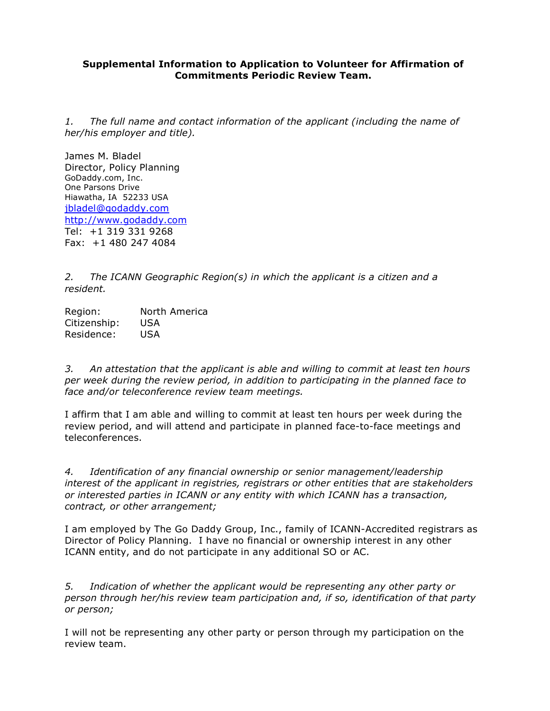## **Supplemental Information to Application to Volunteer for Affirmation of Commitments Periodic Review Team.**

*1. The full name and contact information of the applicant (including the name of her/his employer and title).*

James M. Bladel Director, Policy Planning GoDaddy.com, Inc. One Parsons Drive Hiawatha, IA 52233 USA jbladel@godaddy.com http://www.godaddy.com Tel: +1 319 331 9268 Fax: +1 480 247 4084

*2. The ICANN Geographic Region(s) in which the applicant is a citizen and a resident.*

Region: North America Citizenship: USA Residence: USA

*3. An attestation that the applicant is able and willing to commit at least ten hours per week during the review period, in addition to participating in the planned face to face and/or teleconference review team meetings.*

I affirm that I am able and willing to commit at least ten hours per week during the review period, and will attend and participate in planned face-to-face meetings and teleconferences.

*4. Identification of any financial ownership or senior management/leadership interest of the applicant in registries, registrars or other entities that are stakeholders or interested parties in ICANN or any entity with which ICANN has a transaction, contract, or other arrangement;*

I am employed by The Go Daddy Group, Inc., family of ICANN-Accredited registrars as Director of Policy Planning. I have no financial or ownership interest in any other ICANN entity, and do not participate in any additional SO or AC.

*5. Indication of whether the applicant would be representing any other party or person through her/his review team participation and, if so, identification of that party or person;*

I will not be representing any other party or person through my participation on the review team.